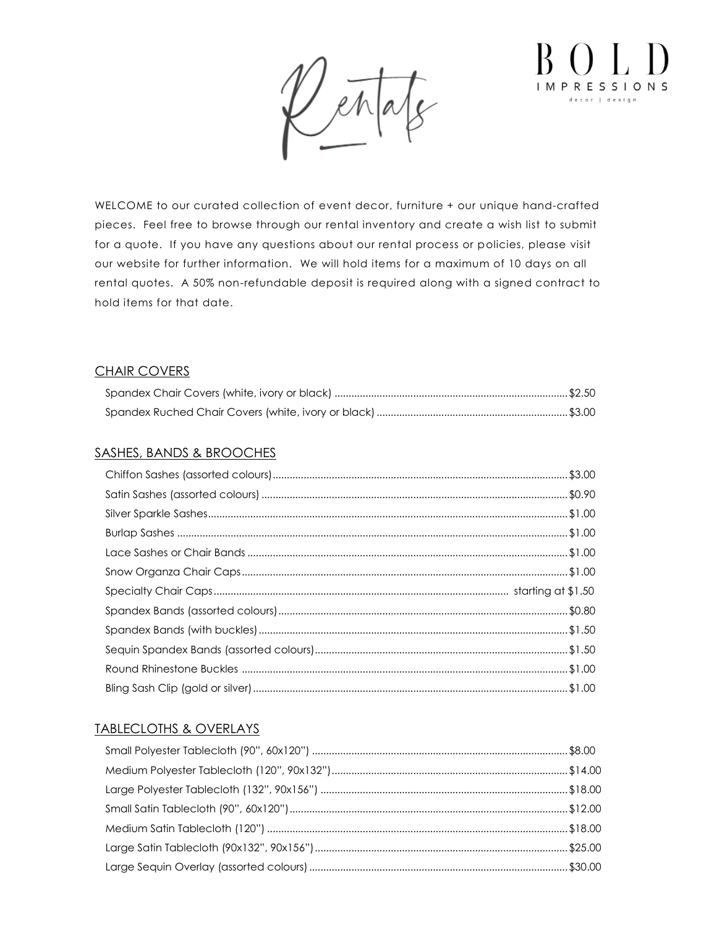

WELCOME to our curated collection of event decor, furniture + our unique hand-crafted pieces. Feel free to browse through our rental inventory and create a wish list to submit for a quote. If you have any questions about our rental process or policies, please visit our website for further information. We will hold items for a maximum of 10 days on all rental quotes. A 50% non-refundable deposit is required along with a signed contract to hold items for that date.

### CHAIR COVERS

### SASHES, BANDS & BROOCHES

### TABLECLOTHS & OVERLAYS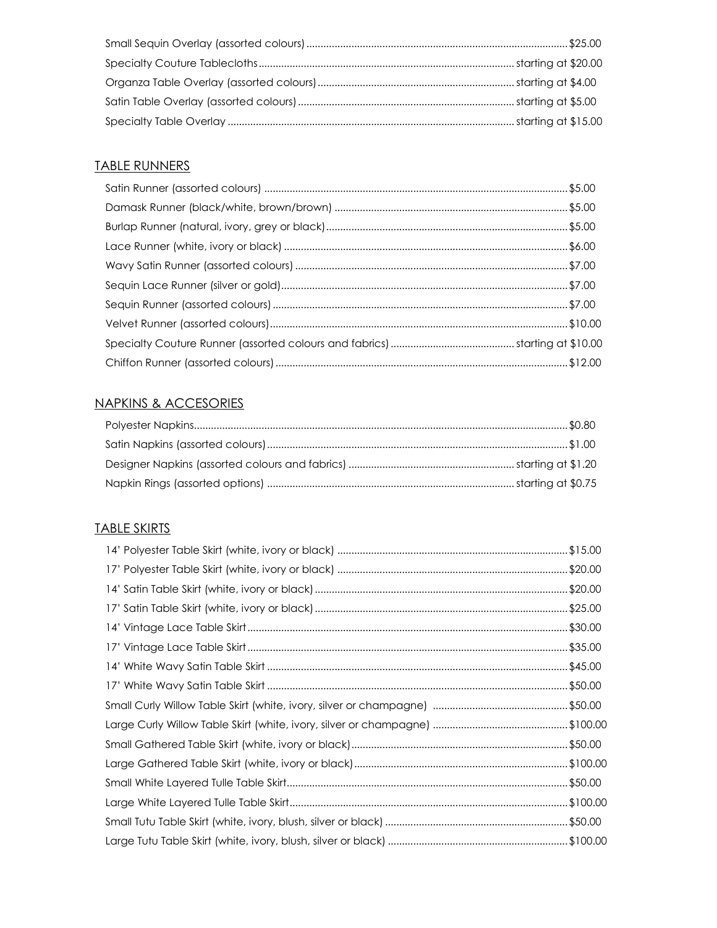# **TABLE RUNNERS**

### **NAPKINS & ACCESORIES**

### **TABLE SKIRTS**

| \$35.00 |
|---------|
| \$45.00 |
| \$50.00 |
|         |
|         |
|         |
|         |
|         |
|         |
|         |
|         |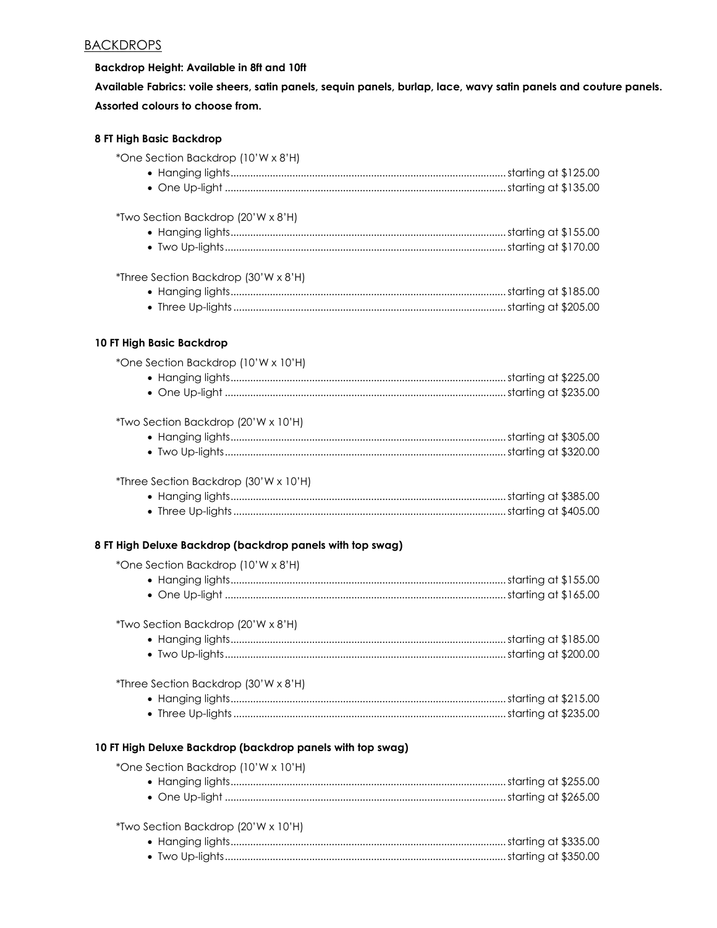### **BACKDROPS**

**8 FT High Basic Backdrop**

#### **Backdrop Height: Available in 8ft and 10ft**

**Available Fabrics: voile sheers, satin panels, sequin panels, burlap, lace, wavy satin panels and couture panels. Assorted colours to choose from.**

| *One Section Backdrop (10'W x 8'H)                         |  |
|------------------------------------------------------------|--|
|                                                            |  |
|                                                            |  |
| *Two Section Backdrop (20'W x 8'H)                         |  |
|                                                            |  |
|                                                            |  |
| *Three Section Backdrop (30'W x 8'H)                       |  |
|                                                            |  |
|                                                            |  |
| 10 FT High Basic Backdrop                                  |  |
| *One Section Backdrop (10'W x 10'H)                        |  |
|                                                            |  |
|                                                            |  |
| *Two Section Backdrop (20'W x 10'H)                        |  |
|                                                            |  |
|                                                            |  |
| *Three Section Backdrop (30'W x 10'H)                      |  |
|                                                            |  |
|                                                            |  |
| 8 FT High Deluxe Backdrop (backdrop panels with top swag)  |  |
| *One Section Backdrop (10'W x 8'H)                         |  |
|                                                            |  |
|                                                            |  |
| *Two Section Backdrop (20'W x 8'H)                         |  |
|                                                            |  |
|                                                            |  |
| *Three Section Backdrop (30'W x 8'H)                       |  |
|                                                            |  |
|                                                            |  |
| 10 FT High Deluxe Backdrop (backdrop panels with top swag) |  |
| *One Section Backdrop (10'W x 10'H)                        |  |
|                                                            |  |
|                                                            |  |
| *Two Section Backdrop (20'W x 10'H)                        |  |
|                                                            |  |
|                                                            |  |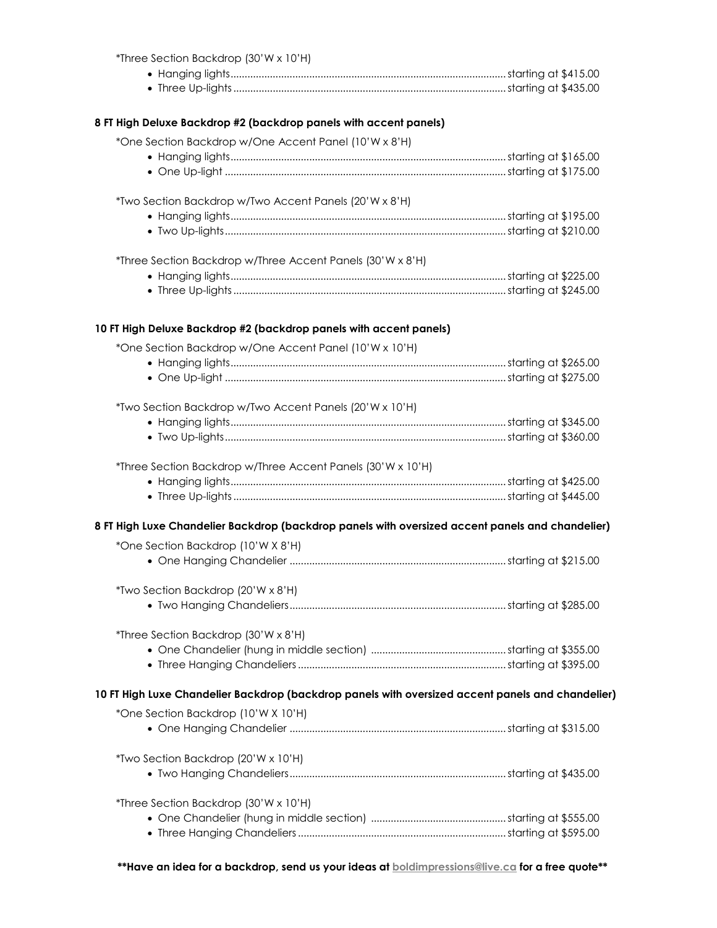| *Three Section Backdrop (30'W x 10'H)                                                                  |  |
|--------------------------------------------------------------------------------------------------------|--|
|                                                                                                        |  |
|                                                                                                        |  |
| 8 FT High Deluxe Backdrop #2 (backdrop panels with accent panels)                                      |  |
| *One Section Backdrop w/One Accent Panel (10'W x 8'H)                                                  |  |
|                                                                                                        |  |
|                                                                                                        |  |
|                                                                                                        |  |
| *Two Section Backdrop w/Two Accent Panels (20'W x 8'H)                                                 |  |
|                                                                                                        |  |
|                                                                                                        |  |
| *Three Section Backdrop w/Three Accent Panels (30'W x 8'H)                                             |  |
|                                                                                                        |  |
|                                                                                                        |  |
|                                                                                                        |  |
| 10 FT High Deluxe Backdrop #2 (backdrop panels with accent panels)                                     |  |
| *One Section Backdrop w/One Accent Panel (10'W x 10'H)                                                 |  |
|                                                                                                        |  |
|                                                                                                        |  |
| *Two Section Backdrop w/Two Accent Panels (20'W x 10'H)                                                |  |
|                                                                                                        |  |
|                                                                                                        |  |
| *Three Section Backdrop w/Three Accent Panels (30'W x 10'H)                                            |  |
|                                                                                                        |  |
|                                                                                                        |  |
|                                                                                                        |  |
| 8 FT High Luxe Chandelier Backdrop (backdrop panels with oversized accent panels and chandelier)       |  |
| *One Section Backdrop (10'W X 8'H)                                                                     |  |
|                                                                                                        |  |
| *Two Section Backdrop (20'W x 8'H)                                                                     |  |
|                                                                                                        |  |
|                                                                                                        |  |
| *Three Section Backdrop (30'W x 8'H)                                                                   |  |
|                                                                                                        |  |
|                                                                                                        |  |
| 10 FT High Luxe Chandelier Backdrop (backdrop panels with oversized accent panels and chandelier)      |  |
| *One Section Backdrop (10'W X 10'H)                                                                    |  |
|                                                                                                        |  |
|                                                                                                        |  |
| *Two Section Backdrop (20'W x 10'H)                                                                    |  |
|                                                                                                        |  |
| *Three Section Backdrop (30'W x 10'H)                                                                  |  |
|                                                                                                        |  |
|                                                                                                        |  |
|                                                                                                        |  |
| **Have an idea for a backdrop, send us your ideas at <b>boldimpressions@live.ca</b> for a free quote** |  |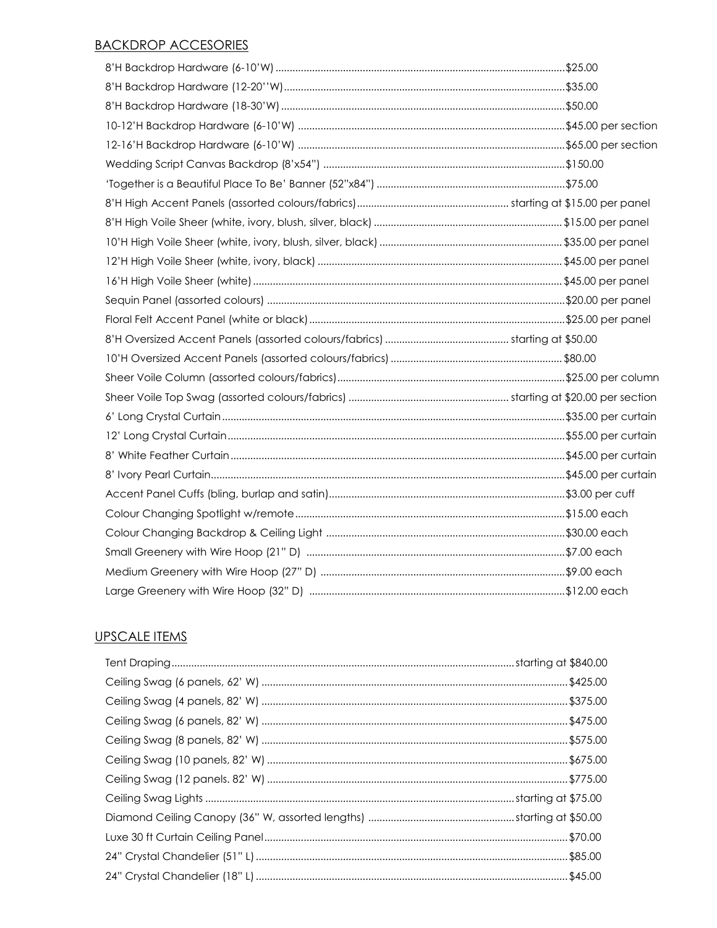#### **BACKDROP ACCESORIES**

### **UPSCALE ITEMS**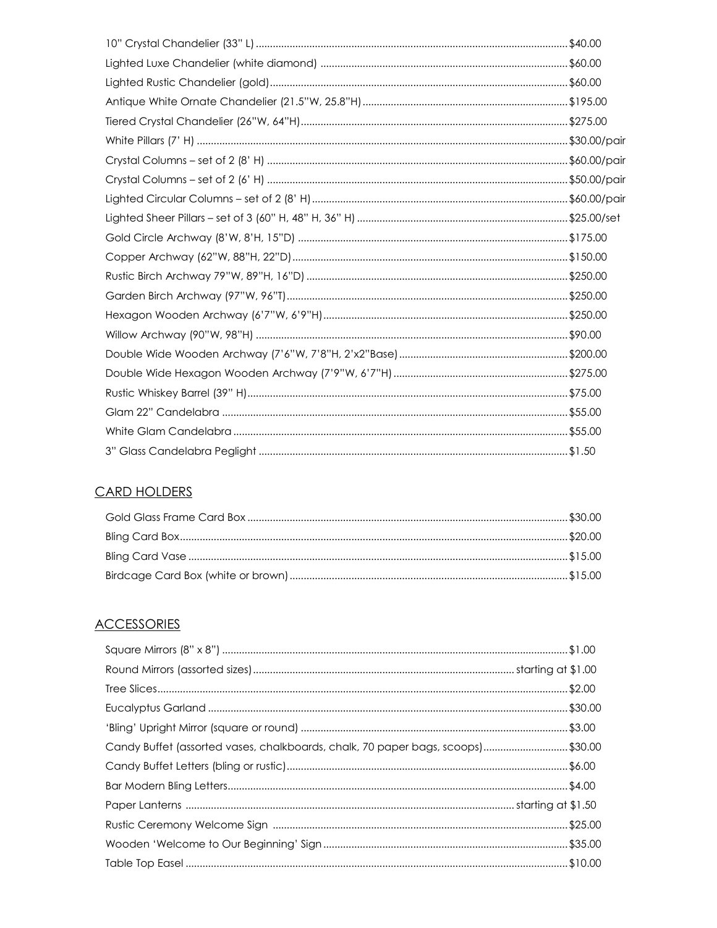# **CARD HOLDERS**

# **ACCESSORIES**

| Candy Buffet (assorted vases, chalkboards, chalk, 70 paper bags, scoops)\$30.00 |  |
|---------------------------------------------------------------------------------|--|
|                                                                                 |  |
|                                                                                 |  |
|                                                                                 |  |
|                                                                                 |  |
|                                                                                 |  |
|                                                                                 |  |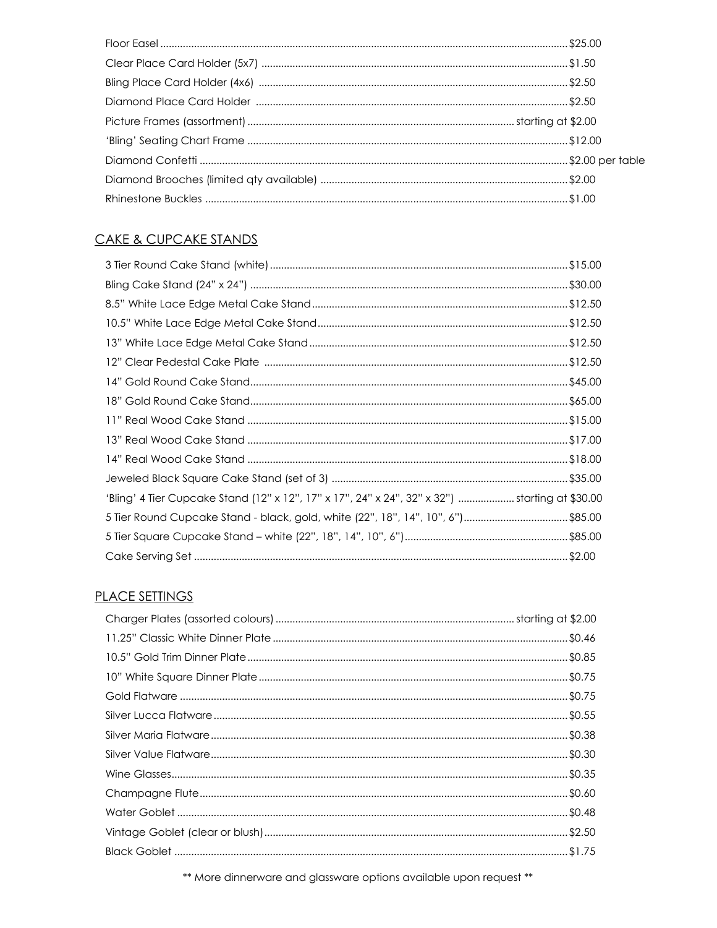### CAKE & CUPCAKE STANDS

| 'Bling' 4 Tier Cupcake Stand (12" x 12", 17" x 17", 24" x 24", 32" x 32") starting at \$30.00 |  |
|-----------------------------------------------------------------------------------------------|--|
| 5 Tier Round Cupcake Stand - black, gold, white (22", 18", 14", 10", 6")\$85.00               |  |
|                                                                                               |  |
|                                                                                               |  |

# **PLACE SETTINGS**

\*\* More dinnerware and glassware options available upon request \*\*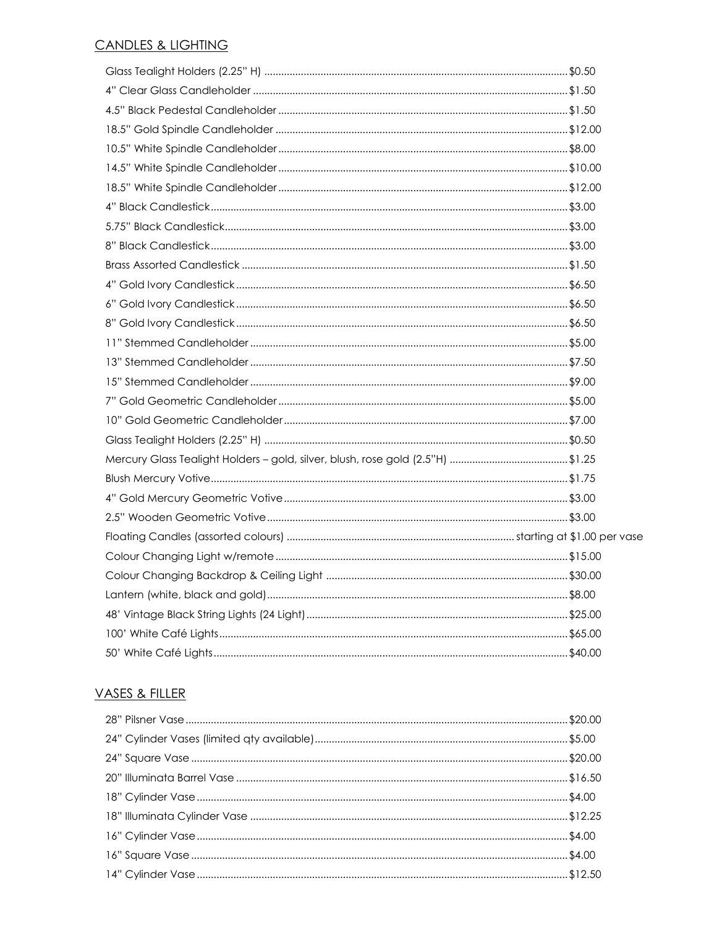#### **CANDLES & LIGHTING**

| Mercury Glass Tealight Holders - gold, silver, blush, rose gold (2.5"H) \$1.25 |  |
|--------------------------------------------------------------------------------|--|
|                                                                                |  |
|                                                                                |  |
|                                                                                |  |
|                                                                                |  |
|                                                                                |  |
|                                                                                |  |
|                                                                                |  |
|                                                                                |  |
|                                                                                |  |
|                                                                                |  |

### VASES & FILLER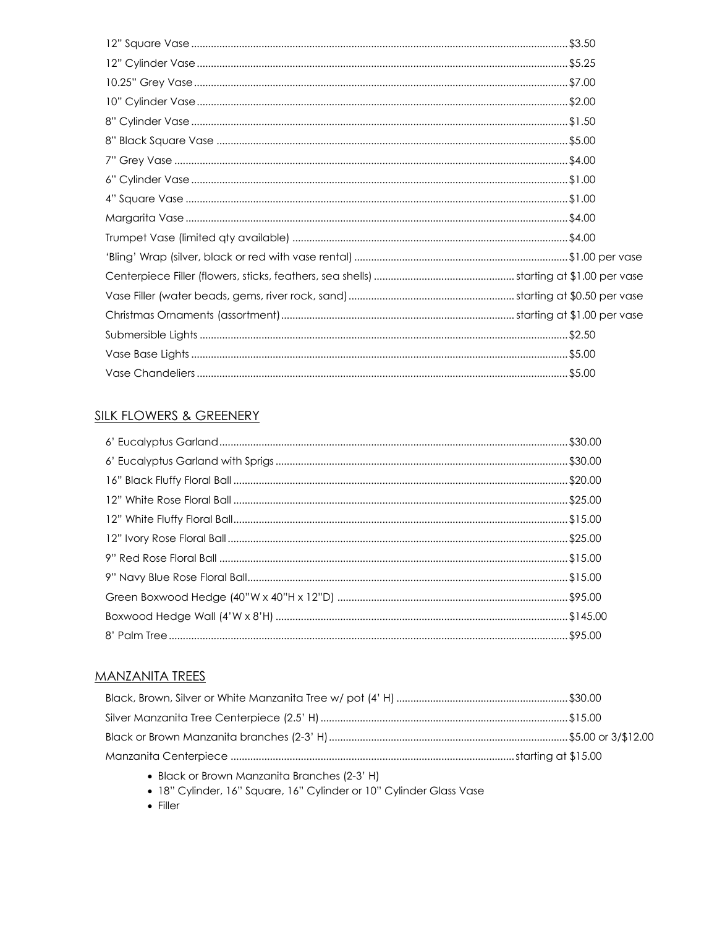### **SILK FLOWERS & GREENERY**

### **MANZANITA TREES**

• Black or Brown Manzanita Branches (2-3' H)

· 18" Cylinder, 16" Square, 16" Cylinder or 10" Cylinder Glass Vase

 $\bullet$  Filler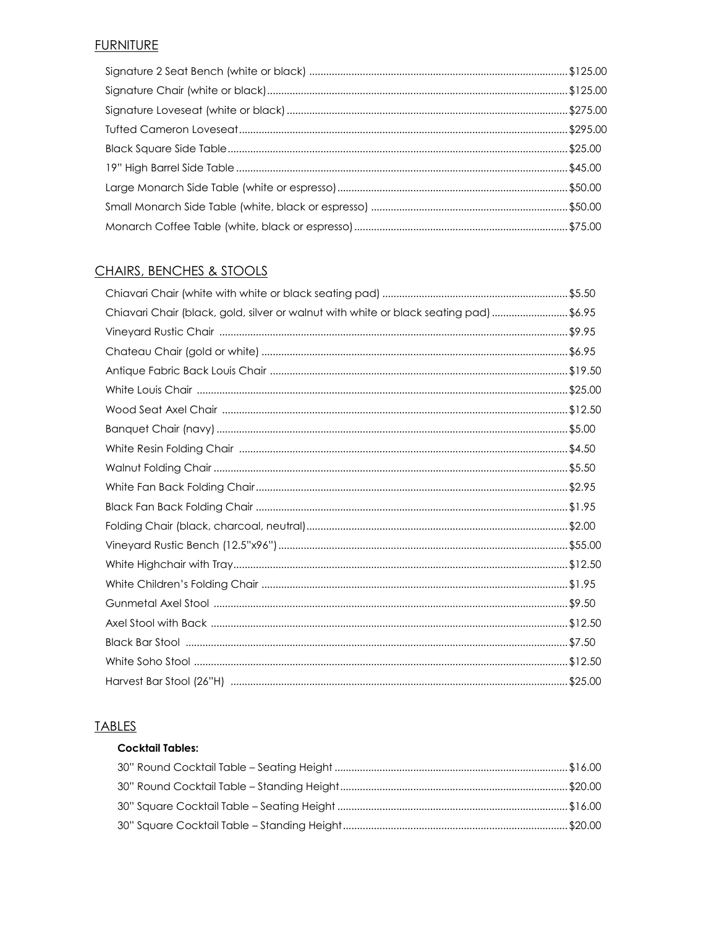# **FURNITURE**

### **CHAIRS, BENCHES & STOOLS**

| Chiavari Chair (black, gold, silver or walnut with white or black seating pad) \$6.95 |  |
|---------------------------------------------------------------------------------------|--|
|                                                                                       |  |
|                                                                                       |  |
|                                                                                       |  |
|                                                                                       |  |
|                                                                                       |  |
|                                                                                       |  |
|                                                                                       |  |
|                                                                                       |  |
|                                                                                       |  |
|                                                                                       |  |
|                                                                                       |  |
|                                                                                       |  |
|                                                                                       |  |
|                                                                                       |  |
|                                                                                       |  |
|                                                                                       |  |
|                                                                                       |  |
|                                                                                       |  |
|                                                                                       |  |

### **TABLES**

### **Cocktail Tables:**